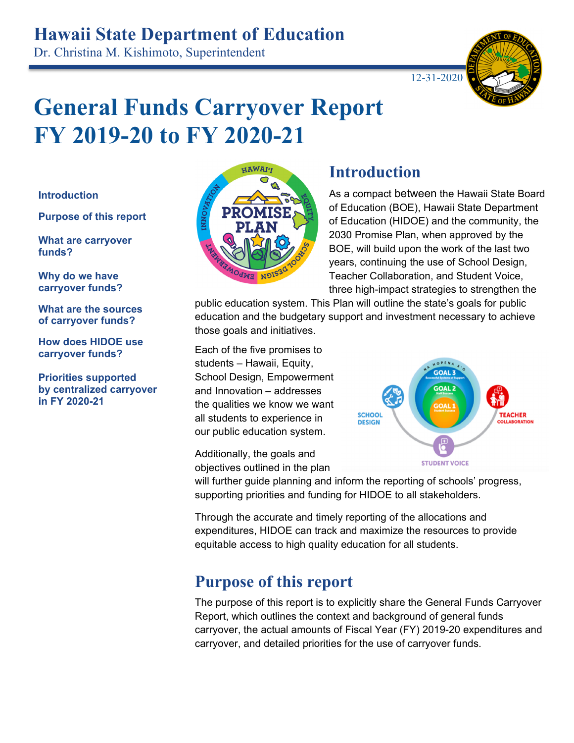# **Hawaii State Department of Education**

Dr. Christina M. Kishimoto, Superintendent



# **General Funds Carryover Report FY 2019-20 to FY 2020-21**

#### **Introduction**

**Purpose of this report** 

**What are carryover funds?** 

**Why do we have carryover funds?** 

**What are the sources of carryover funds?** 

**How does HIDOE use carryover funds?** 

**Priorities supported by centralized carryover in FY 2020-21**



#### **Introduction**

As a compact between the Hawaii State Board of Education (BOE), Hawaii State Department of Education (HIDOE) and the community, the 2030 Promise Plan, when approved by the BOE, will build upon the work of the last two years, continuing the use of School Design, Teacher Collaboration, and Student Voice, three high-impact strategies to strengthen the

public education system. This Plan will outline the state's goals for public education and the budgetary support and investment necessary to achieve those goals and initiatives.

Each of the five promises to students – Hawaii, Equity, School Design, Empowerment and Innovation – addresses the qualities we know we want all students to experience in our public education system.

Additionally, the goals and objectives outlined in the plan



will further guide planning and inform the reporting of schools' progress, supporting priorities and funding for HIDOE to all stakeholders.

Through the accurate and timely reporting of the allocations and expenditures, HIDOE can track and maximize the resources to provide equitable access to high quality education for all students.

#### **Purpose of this report**

The purpose of this report is to explicitly share the General Funds Carryover Report, which outlines the context and background of general funds carryover, the actual amounts of Fiscal Year (FY) 2019-20 expenditures and carryover, and detailed priorities for the use of carryover funds.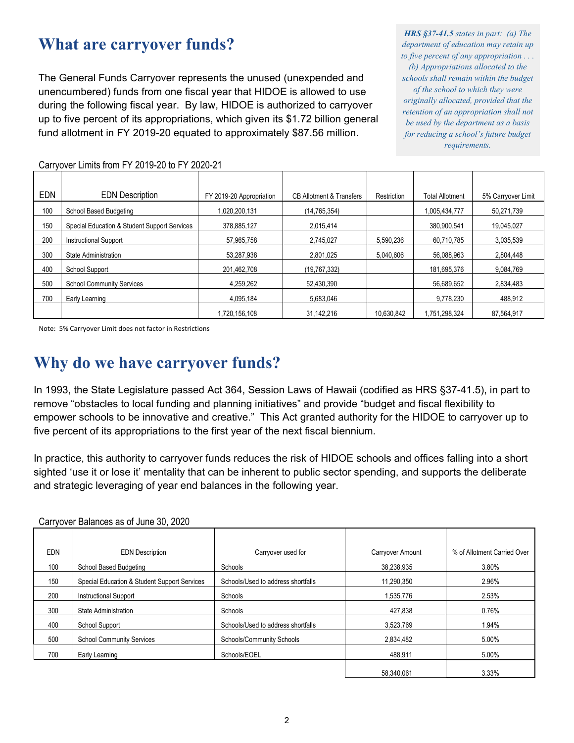#### **What are carryover funds?**

The General Funds Carryover represents the unused (unexpended and unencumbered) funds from one fiscal year that HIDOE is allowed to use during the following fiscal year. By law, HIDOE is authorized to carryover up to five percent of its appropriations, which given its \$1.72 billion general fund allotment in FY 2019-20 equated to approximately \$87.56 million.

*HRS §37-41.5 states in part: (a) The department of education may retain up to five percent of any appropriation . . . (b) Appropriations allocated to the schools shall remain within the budget of the school to which they were originally allocated, provided that the retention of an appropriation shall not be used by the department as a basis for reducing a school's future budget requirements.*

| <b>EDN</b> | <b>EDN Description</b>                       | FY 2019-20 Appropriation | <b>CB Allotment &amp; Transfers</b> | Restriction | <b>Total Allotment</b> | 5% Carryover Limit |
|------------|----------------------------------------------|--------------------------|-------------------------------------|-------------|------------------------|--------------------|
| 100        | School Based Budgeting                       | 1.020.200.131            | (14,765,354)                        |             | 1,005,434,777          | 50,271,739         |
| 150        | Special Education & Student Support Services | 378.885.127              | 2,015,414                           |             | 380,900,541            | 19,045,027         |
| 200        | <b>Instructional Support</b>                 | 57,965,758               | 2,745,027                           | 5,590,236   | 60,710,785             | 3,035,539          |
| 300        | State Administration                         | 53,287,938               | 2,801,025                           | 5,040,606   | 56.088.963             | 2,804,448          |
| 400        | School Support                               | 201,462,708              | (19,767,332)                        |             | 181,695,376            | 9,084,769          |
| 500        | <b>School Community Services</b>             | 4.259.262                | 52,430,390                          |             | 56.689.652             | 2,834,483          |
| 700        | Early Learning                               | 4.095.184                | 5,683,046                           |             | 9,778,230              | 488.912            |
|            |                                              | 1,720,156,108            | 31,142,216                          | 10,630,842  | 1,751,298,324          | 87,564,917         |

Carryover Limits from FY 2019-20 to FY 2020-21

Note: 5% Carryover Limit does not factor in Restrictions

#### **Why do we have carryover funds?**

In 1993, the State Legislature passed Act 364, Session Laws of Hawaii (codified as HRS §37-41.5), in part to remove "obstacles to local funding and planning initiatives" and provide "budget and fiscal flexibility to empower schools to be innovative and creative." This Act granted authority for the HIDOE to carryover up to five percent of its appropriations to the first year of the next fiscal biennium.

In practice, this authority to carryover funds reduces the risk of HIDOE schools and offices falling into a short sighted 'use it or lose it' mentality that can be inherent to public sector spending, and supports the deliberate and strategic leveraging of year end balances in the following year.

|            | Carryover Balafices as 01 Julie 30, 2020     |                                    |                  |                             |
|------------|----------------------------------------------|------------------------------------|------------------|-----------------------------|
|            |                                              |                                    |                  |                             |
| <b>EDN</b> | <b>EDN</b> Description                       | Carryover used for                 | Carryover Amount | % of Allotment Carried Over |
| 100        | School Based Budgeting                       | Schools                            | 38,238,935       | 3.80%                       |
| 150        | Special Education & Student Support Services | Schools/Used to address shortfalls | 11,290,350       | 2.96%                       |
| 200        | <b>Instructional Support</b>                 | Schools                            | 1,535,776        | 2.53%                       |
| 300        | State Administration                         | Schools                            | 427,838          | 0.76%                       |
| 400        | <b>School Support</b>                        | Schools/Used to address shortfalls | 3,523,769        | 1.94%                       |
| 500        | <b>School Community Services</b>             | Schools/Community Schools          | 2,834,482        | 5.00%                       |
| 700        | Early Learning                               | Schools/EOEL                       | 488.911          | 5.00%                       |
|            |                                              |                                    | 58,340,061       | 3.33%                       |

Carryover Balances as of June 30, 2020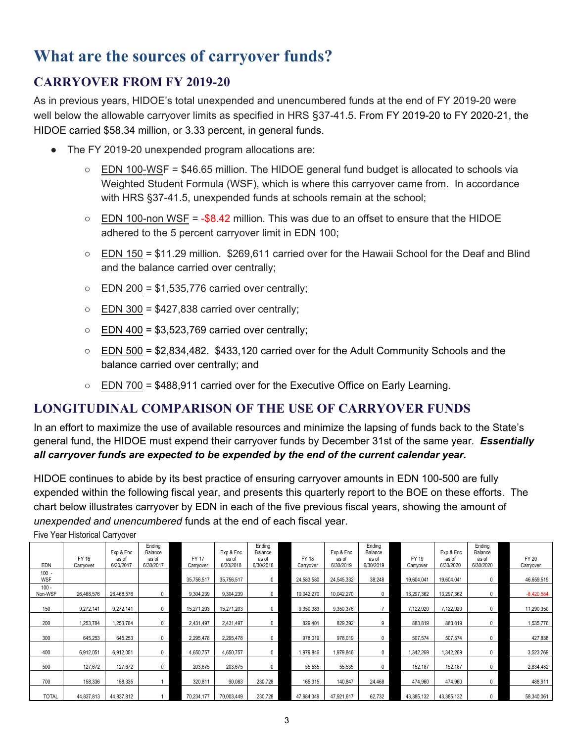## **What are the sources of carryover funds?**

#### **CARRYOVER FROM FY 2019-20**

As in previous years, HIDOE's total unexpended and unencumbered funds at the end of FY 2019-20 were well below the allowable carryover limits as specified in HRS §37-41.5. From FY 2019-20 to FY 2020-21, the HIDOE carried \$58.34 million, or 3.33 percent, in general funds.

- The FY 2019-20 unexpended program allocations are:
	- EDN 100-WSF = \$46.65 million. The HIDOE general fund budget is allocated to schools via Weighted Student Formula (WSF), which is where this carryover came from. In accordance with HRS §37-41.5, unexpended funds at schools remain at the school;
	- $\circ$  EDN 100-non WSF = -\$8.42 million. This was due to an offset to ensure that the HIDOE adhered to the 5 percent carryover limit in EDN 100;
	- EDN 150 = \$11.29 million. \$269,611 carried over for the Hawaii School for the Deaf and Blind and the balance carried over centrally;
	- $\circ$  EDN 200 = \$1,535,776 carried over centrally;
	- $\circ$  EDN 300 = \$427,838 carried over centrally;
	- $\circ$  EDN 400 = \$3,523,769 carried over centrally;
	- EDN 500 = \$2,834,482. \$433,120 carried over for the Adult Community Schools and the balance carried over centrally; and
	- EDN 700 = \$488,911 carried over for the Executive Office on Early Learning.

#### **LONGITUDINAL COMPARISON OF THE USE OF CARRYOVER FUNDS**

In an effort to maximize the use of available resources and minimize the lapsing of funds back to the State's general fund, the HIDOE must expend their carryover funds by December 31st of the same year. *Essentially all carryover funds are expected to be expended by the end of the current calendar year.* 

HIDOE continues to abide by its best practice of ensuring carryover amounts in EDN 100-500 are fully expended within the following fiscal year, and presents this quarterly report to the BOE on these efforts. The chart below illustrates carryover by EDN in each of the five previous fiscal years, showing the amount of *unexpended and unencumbered* funds at the end of each fiscal year.

Five Year Historical Carryover

| <b>EDN</b>            | FY 16<br>Carryover | Exp & Enc<br>as of<br>6/30/2017 | Ending<br>Balance<br>as of<br>6/30/2017 | <b>FY 17</b><br>Carryover | Exp & Enc<br>as of<br>6/30/2018 | Ending<br>Balance<br>as of<br>6/30/2018 | FY 18<br>Carryover | Exp & Enc<br>as of<br>6/30/2019 | Ending<br>Balance<br>as of<br>6/30/2019 | FY 19<br>Carryover | Exp & Enc<br>as of<br>6/30/2020 | Ending<br>Balance<br>as of<br>6/30/2020 | FY 20<br>Carryover |
|-----------------------|--------------------|---------------------------------|-----------------------------------------|---------------------------|---------------------------------|-----------------------------------------|--------------------|---------------------------------|-----------------------------------------|--------------------|---------------------------------|-----------------------------------------|--------------------|
| $100 -$<br><b>WSF</b> |                    |                                 |                                         | 35,756,517                | 35,756,517                      | $\mathbf{0}$                            | 24,583,580         | 24,545,332                      | 38,248                                  | 19,604,041         | 19,604,041                      | 0                                       | 46,659,519         |
| $100 -$<br>Non-WSF    | 26,468,576         | 26,468,576                      | 0                                       | 9,304,239                 | 9,304,239                       | $\mathbf{0}$                            | 10,042,270         | 10,042,270                      | $\mathbf{0}$                            | 13,297,362         | 13,297,362                      | 0                                       | $-8,420,584$       |
| 150                   | 9,272,141          | 9,272,141                       |                                         | 15,271,203                | 15,271,203                      | 0                                       | 9,350,383          | 9,350,376                       |                                         | 122,920            | 7,122,920                       | 0                                       | 11,290,350         |
| 200                   | ,253,784           | 1,253,784                       | 0                                       | 2,431,497                 | 2,431,497                       | 0                                       | 829,401            | 829,392                         | 9                                       | 883,819            | 883,819                         | 0                                       | 1,535,776          |
| 300                   | 645,253            | 645,253                         |                                         | 2,295,478                 | 2,295,478                       | 0                                       | 978,019            | 978,019                         | 0                                       | 507,574            | 507,574                         | 0                                       | 427,838            |
| 400                   | 6,912,051          | 6,912,051                       |                                         | 4,650,757                 | 4,650,757                       | 0                                       | 1,979,846          | 1,979,846                       | 0                                       | 1,342,269          | 1,342,269                       | 0                                       | 3,523,769          |
| 500                   | 127,672            | 127,672                         | 0                                       | 203,675                   | 203,675                         | 0                                       | 55,535             | 55,535                          | 0                                       | 152,187            | 152,187                         | 0                                       | 2,834,482          |
| 700                   | 158,336            | 158,335                         |                                         | 320,811                   | 90,083                          | 230,728                                 | 165,315            | 140.847                         | 24,468                                  | 474,960            | 474,960                         | 0                                       | 488,911            |
| <b>TOTAL</b>          | 44,837,813         | 44,837,812                      |                                         | 70,234,177                | 70,003,449                      | 230,728                                 | 47,984,349         | 47,921,617                      | 62,732                                  | 43,385,132         | 43,385,132                      |                                         | 58,340,061         |